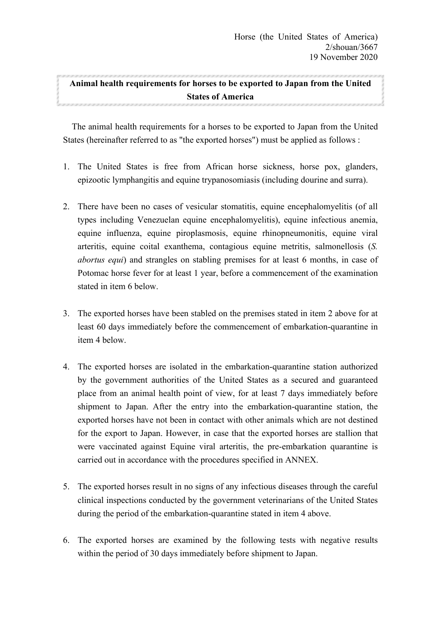## **Animal health requirements for horses to be exported to Japan from the United States of America**

 The animal health requirements for a horses to be exported to Japan from the United States (hereinafter referred to as "the exported horses") must be applied as follows :

- 1. The United States is free from African horse sickness, horse pox, glanders, epizootic lymphangitis and equine trypanosomiasis (including dourine and surra).
- 2. There have been no cases of vesicular stomatitis, equine encephalomyelitis (of all types including Venezuelan equine encephalomyelitis), equine infectious anemia, equine influenza, equine piroplasmosis, equine rhinopneumonitis, equine viral arteritis, equine coital exanthema, contagious equine metritis, salmonellosis (*S. abortus equi*) and strangles on stabling premises for at least 6 months, in case of Potomac horse fever for at least 1 year, before a commencement of the examination stated in item 6 below.
- 3. The exported horses have been stabled on the premises stated in item 2 above for at least 60 days immediately before the commencement of embarkation-quarantine in item 4 below.
- 4. The exported horses are isolated in the embarkation-quarantine station authorized by the government authorities of the United States as a secured and guaranteed place from an animal health point of view, for at least 7 days immediately before shipment to Japan. After the entry into the embarkationquarantine station, the exported horses have not been in contact with other animals which are not destined for the export to Japan. However, in case that the exported horses are stallion that were vaccinated against Equine viral arteritis, the pre-embarkation quarantine is carried out in accordance with the procedures specified in ANNEX.
- 5. The exported horses result in no signs of any infectious diseases through the careful clinical inspections conducted by the government veterinarians of the United States during the period of the embarkation-quarantine stated in item 4 above.
- 6. The exported horses are examined by the following tests with negative results within the period of 30 days immediately before shipment to Japan.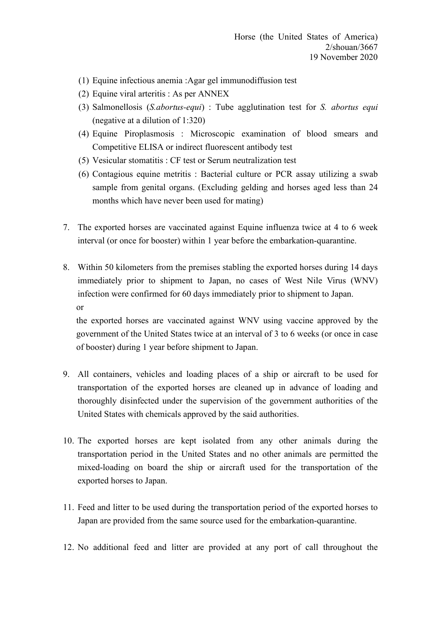- (1) Equine infectious anemia :Agar gel immunodiffusion test
- (2) Equine viral arteritis : As per ANNEX
- (3) Salmonellosis (*S.abortusequi*) : Tube agglutination test for *S. abortus equi*  (negative at a dilution of 1:320)
- (4) Equine Piroplasmosis : Microscopic examination of blood smears and Competitive ELISA or indirect fluorescent antibody test
- (5) Vesicular stomatitis : CF test or Serum neutralization test
- (6) Contagious equine metritis : Bacterial culture or PCR assay utilizing a swab sample from genital organs. (Excluding gelding and horses aged less than 24 months which have never been used for mating)
- 7. The exported horses are vaccinated against Equine influenza twice at 4 to 6 week interval (or once for booster) within 1 year before the embarkation-quarantine.
- 8. Within 50 kilometers from the premises stabling the exported horses during 14 days immediately prior to shipment to Japan, no cases of West Nile Virus (WNV) infection were confirmed for 60 days immediately prior to shipment to Japan. or

the exported horses are vaccinated against WNV using vaccine approved by the government of the United States twice at an interval of 3 to 6 weeks (or once in case of booster) during 1 year before shipment to Japan.

- 9. All containers, vehicles and loading places of a ship or aircraft to be used for transportation of the exported horses are cleaned up in advance of loading and thoroughly disinfected under the supervision of the government authorities of the United States with chemicals approved by the said authorities.
- 10. The exported horses are kept isolated from any other animals during the transportation period in the United States and no other animals are permitted the mixed-loading on board the ship or aircraft used for the transportation of the exported horses to Japan.
- 11. Feed and litter to be used during the transportation period of the exported horses to Japan are provided from the same source used for the embarkation-quarantine.
- 12. No additional feed and litter are provided at any port of call throughout the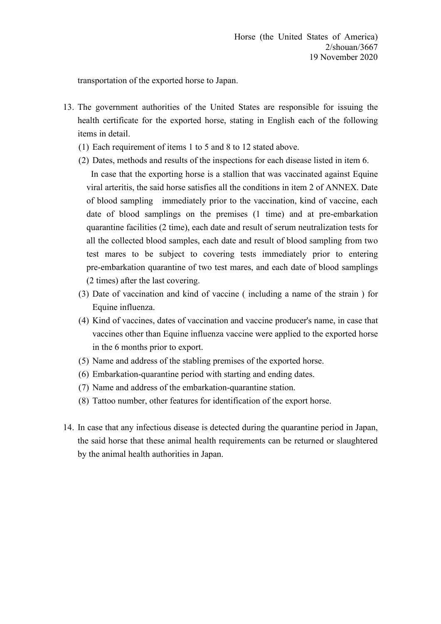transportation of the exported horse to Japan.

- 13. The government authorities of the United States are responsible for issuing the health certificate for the exported horse, stating in English each of the following items in detail.
	- (1) Each requirement of items 1 to 5 and 8 to 12 stated above.
	- (2) Dates, methods and results of the inspections for each disease listed in item 6.
	- In case that the exporting horse is a stallion that was vaccinated against Equine viral arteritis, the said horse satisfies all the conditions in item 2 of ANNEX. Date of blood sampling immediately prior to the vaccination, kind of vaccine, each date of blood samplings on the premises (1 time) and at pre-embarkation quarantine facilities (2 time), each date and result of serum neutralization tests for all the collected blood samples, each date and result of blood sampling from two test mares to be subject to covering tests immediately prior to entering pre-embarkation quarantine of two test mares, and each date of blood samplings (2 times) after the last covering.
	- (3) Date of vaccination and kind of vaccine ( including a name of the strain ) for Equine influenza.
	- (4) Kind of vaccines, dates of vaccination and vaccine producer's name, in case that vaccines other than Equine influenza vaccine were applied to the exported horse in the 6 months prior to export.
	- (5) Name and address of the stabling premises of the exported horse.
	- $(6)$  Embarkation-quarantine period with starting and ending dates.
	- $(7)$  Name and address of the embarkation-quarantine station.
	- (8) Tattoo number, other features for identification of the export horse.
- 14. In case that any infectious disease is detected during the quarantine period in Japan, the said horse that these animal health requirements can be returned or slaughtered by the animal health authorities in Japan.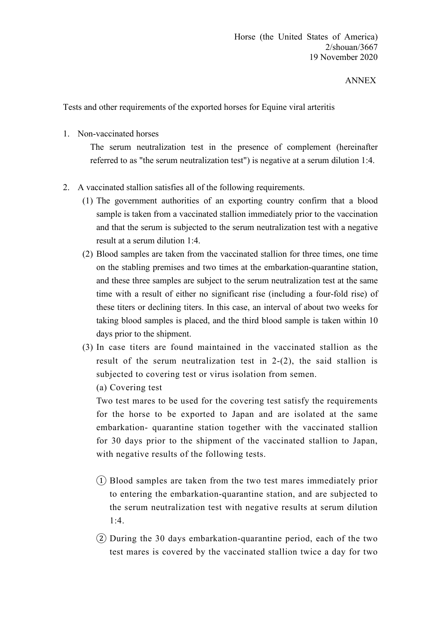## ANNEX

Tests and other requirements of the exported horses for Equine viral arteritis

1. Non-vaccinated horses

The serum neutralization test in the presence of complement (hereinafter referred to as "the serum neutralization test") is negative at a serum dilution 1:4.

- 2. A vaccinated stallion satisfies all of the following requirements.
	- (1) The government authorities of an exporting country confirm that a blood sample is taken from a vaccinated stallion immediately prior to the vaccination and that the serum is subjected to the serum neutralization test with a negative result at a serum dilution 1:4.
	- (2) Blood samples are taken from the vaccinated stallion for three times, one time on the stabling premises and two times at the embarkation-quarantine station, and these three samples are subject to the serum neutralization test at the same time with a result of either no significant rise (including a four-fold rise) of these titers or declining titers. In this case, an interval of about two weeks for taking blood samples is placed, and the third blood sample is taken within 10 days prior to the shipment.
	- (3) In case titers are found maintained in the vaccinated stallion as the result of the serum neutralization test in 2-(2), the said stallion is subjected to covering test or virus isolation from semen.

(a) Covering test

Two test mares to be used for the covering test satisfy the requirements for the horse to be exported to Japan and are isolated at the same embarkation- quarantine station together with the vaccinated stallion for 30 days prior to the shipment of the vaccinated stallion to Japan, with negative results of the following tests.

- ① Blood samples are taken from the two test mares immediately prior to entering the embarkation-quarantine station, and are subjected to the serum neutralization test with negative results at serum dilution  $1:4.$
- ② During the 30 days embarkation-quarantine period, each of the two test mares is covered by the vaccinated stallion twice a day for two